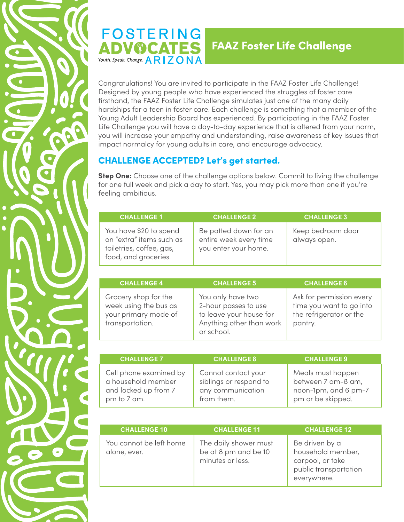

## **FOSTERING** ADVOCATES Youth. Speak. Change.  $ARIZONA$

## FAAZ Foster Life Challenge

Congratulations! You are invited to participate in the FAAZ Foster Life Challenge! Designed by young people who have experienced the struggles of foster care firsthand, the FAAZ Foster Life Challenge simulates just one of the many daily hardships for a teen in foster care. Each challenge is something that a member of the Young Adult Leadership Board has experienced. By participating in the FAAZ Foster Life Challenge you will have a day-to-day experience that is altered from your norm, you will increase your empathy and understanding, raise awareness of key issues that impact normalcy for young adults in care, and encourage advocacy.

## CHALLENGE ACCEPTED? Let's get started.

**Step One:** Choose one of the challenge options below. Commit to living the challenge for one full week and pick a day to start. Yes, you may pick more than one if you're feeling ambitious.

| <b>CHALLENGE 1</b>                                                                                     | <b>CHALLENGE 2</b>                                                      | <b>CHALLENGE 3</b>                |
|--------------------------------------------------------------------------------------------------------|-------------------------------------------------------------------------|-----------------------------------|
| You have \$20 to spend<br>on "extra" items such as<br>toiletries, coffee, gas,<br>food, and groceries. | Be patted down for an<br>entire week every time<br>you enter your home. | Keep bedroom door<br>always open. |

| <b>CHALLENGE 4</b>                                                                       | <b>CHALLENGE 5</b>                                                                                             | <b>CHALLENGE 6</b>                                                                         |
|------------------------------------------------------------------------------------------|----------------------------------------------------------------------------------------------------------------|--------------------------------------------------------------------------------------------|
| Grocery shop for the<br>week using the bus as<br>your primary mode of<br>transportation. | You only have two<br>2-hour passes to use<br>to leave your house for<br>Anything other than work<br>or school. | Ask for permission every<br>time you want to go into<br>the refrigerator or the<br>pantry. |

| <b>CHALLENGE 7</b>                                                                  | <b>CHALLENGE 8</b>                                                               | <b>CHALLENGE 9</b>                                                                   |
|-------------------------------------------------------------------------------------|----------------------------------------------------------------------------------|--------------------------------------------------------------------------------------|
| Cell phone examined by<br>a household member<br>and locked up from 7<br>pm to 7 am. | Cannot contact your<br>siblings or respond to<br>any communication<br>from them. | Meals must happen<br>between 7 am-8 am,<br>noon-1pm, and 6 pm-7<br>pm or be skipped. |

| <b>CHALLENGE 10</b>                     | <b>CHALLENGE 11</b>                                               | <b>CHALLENGE 12</b>                                                                             |
|-----------------------------------------|-------------------------------------------------------------------|-------------------------------------------------------------------------------------------------|
| You cannot be left home<br>alone, ever. | The daily shower must<br>be at 8 pm and be 10<br>minutes or less. | Be driven by a<br>household member,<br>carpool, or take<br>public transportation<br>everywhere. |